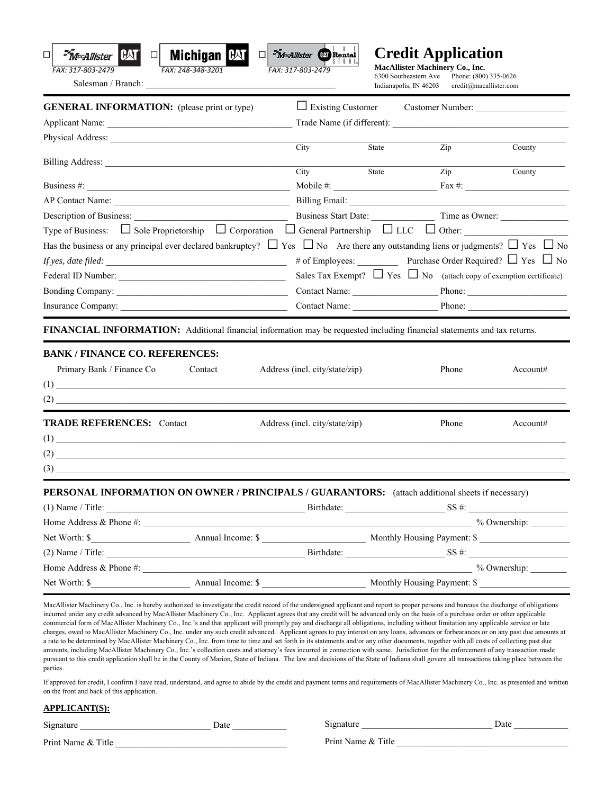



Salesman / Branch:

**Credit Application**  $\frac{1}{2}$ Rental **MacAllister Machinery Co., Inc.** 6300 Southeastern Ave Phone: (800)

Phone: (800) 335-0626 Indianapolis, IN 46203 credit@macallister.com

| <b>GENERAL INFORMATION:</b> (please print or type)                                                                                                                                                                                                                                                                                                          |                                |       |                                                                               |                                                               |
|-------------------------------------------------------------------------------------------------------------------------------------------------------------------------------------------------------------------------------------------------------------------------------------------------------------------------------------------------------------|--------------------------------|-------|-------------------------------------------------------------------------------|---------------------------------------------------------------|
|                                                                                                                                                                                                                                                                                                                                                             |                                |       |                                                                               |                                                               |
|                                                                                                                                                                                                                                                                                                                                                             |                                |       |                                                                               |                                                               |
|                                                                                                                                                                                                                                                                                                                                                             | City                           | State | Zip                                                                           | County<br>County                                              |
|                                                                                                                                                                                                                                                                                                                                                             | City                           | State | Zip                                                                           |                                                               |
|                                                                                                                                                                                                                                                                                                                                                             |                                |       |                                                                               |                                                               |
|                                                                                                                                                                                                                                                                                                                                                             |                                |       |                                                                               |                                                               |
| Type of Business: $\Box$ Sole Proprietorship $\Box$ Corporation $\Box$ General Partnership $\Box$ LLC $\Box$ Other:                                                                                                                                                                                                                                         |                                |       |                                                                               |                                                               |
| Has the business or any principal ever declared bankruptcy? $\Box$ Yes $\Box$ No Are there any outstanding liens or judgments? $\Box$ Yes $\Box$ No                                                                                                                                                                                                         |                                |       |                                                                               |                                                               |
|                                                                                                                                                                                                                                                                                                                                                             |                                |       |                                                                               | # of Employees: Purchase Order Required? $\Box$ Yes $\Box$ No |
|                                                                                                                                                                                                                                                                                                                                                             |                                |       | Sales Tax Exempt? $\Box$ Yes $\Box$ No (attach copy of exemption certificate) |                                                               |
|                                                                                                                                                                                                                                                                                                                                                             |                                |       |                                                                               | Contact Name: Phone: Phone:                                   |
|                                                                                                                                                                                                                                                                                                                                                             |                                |       |                                                                               | Contact Name: Phone: Phone:                                   |
| FINANCIAL INFORMATION: Additional financial information may be requested including financial statements and tax returns.<br><b>BANK / FINANCE CO. REFERENCES:</b><br>Primary Bank / Finance Co<br>Contact                                                                                                                                                   | Address (incl. city/state/zip) |       | Phone                                                                         | Account#                                                      |
|                                                                                                                                                                                                                                                                                                                                                             |                                |       |                                                                               |                                                               |
| <b>TRADE REFERENCES: Contact</b>                                                                                                                                                                                                                                                                                                                            | Address (incl. city/state/zip) |       | Phone                                                                         | Account#                                                      |
| $(1) \begin{tabular}{ c c c c } \hline \rule{0.3cm}{.01cm} & \rule{0.3cm}{.01cm} \rule{0.3cm}{.01cm} \rule{0.3cm}{.01cm} \rule{0.3cm}{.01cm} \rule{0.3cm}{.01cm} \rule{0.3cm}{.01cm} \rule{0.3cm}{.01cm} \rule{0.3cm}{.01cm} \rule{0.3cm}{.01cm} \rule{0.3cm}{.01cm} \rule{0.3cm}{.01cm} \rule{0.3cm}{.01cm} \rule{0.3cm}{.01cm} \rule{0.3cm}{.01cm} \rule$ |                                |       |                                                                               |                                                               |
| $(2)$ $\qquad$                                                                                                                                                                                                                                                                                                                                              |                                |       |                                                                               |                                                               |
|                                                                                                                                                                                                                                                                                                                                                             |                                |       |                                                                               |                                                               |
| PERSONAL INFORMATION ON OWNER / PRINCIPALS / GUARANTORS: (attach additional sheets if necessary)<br>(1) Name / Title: SS #:                                                                                                                                                                                                                                 |                                |       |                                                                               |                                                               |
|                                                                                                                                                                                                                                                                                                                                                             |                                |       |                                                                               | % Ownership:                                                  |
|                                                                                                                                                                                                                                                                                                                                                             |                                |       |                                                                               |                                                               |
|                                                                                                                                                                                                                                                                                                                                                             | Birthdate:                     |       | SS #:                                                                         |                                                               |
| $(2)$ Name / Title:<br>Home Address $\&$ Phone #:                                                                                                                                                                                                                                                                                                           | Annual Income: \$              |       |                                                                               | % Ownership:                                                  |

*<sup>3</sup>MacAllister* 

**CAT** 

commercial form of MacAllister Machinery Co., Inc.'s and that applicant will promptly pay and discharge all obligations, including without limitation any applicable service or late charges, owed to MacAllister Machinery Co., Inc. under any such credit advanced. Applicant agrees to pay interest on any loans, advances or forbearances or on any past due amounts at a rate to be determined by MacAllister Machinery Co., Inc. from time to time and set forth in its statements and/or any other documents, together with all costs of collecting past due amounts, including MacAllister Machinery Co., Inc.'s collection costs and attorney's fees incurred in connection with same. Jurisdiction for the enforcement of any transaction made pursuant to this credit application shall be in the County of Marion, State of Indiana. The law and decisions of the State of Indiana shall govern all transactions taking place between the parties.

If approved for credit, I confirm I have read, understand, and agree to abide by the credit and payment terms and requirements of MacAllister Machinery Co., Inc. as presented and written on the front and back of this application.

## **APPLICANT(S):**

| Signature          | Date |
|--------------------|------|
| Print Name & Title |      |

Signature \_\_\_\_\_\_\_\_\_\_\_\_\_\_\_\_\_\_\_\_\_\_\_\_\_\_\_\_\_ Date \_\_\_\_\_\_\_\_\_\_\_\_

Print Name & Title